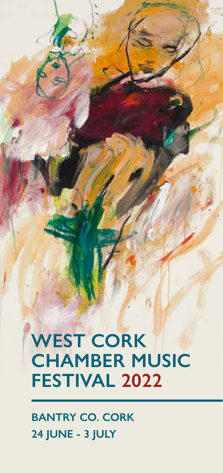# **WEST CORK CHAMBER MUSIC FESTIVAL 2022**

**BANTRY CO. CORK 24 JUNE - 3 JULY**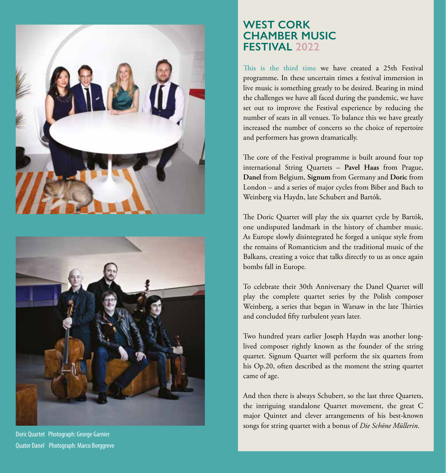



Doric Quartet Photograph: George Garnier Quator Danel Photograph: Marco Borggreve

### **WEST CORK CHAMBER MUSIC FESTIVAL 2022**

**This is the third time** we have created a 25th Festival programme**.** In these uncertain times a festival immersion in live music is something greatly to be desired. Bearing in mind the challenges we have all faced during the pandemic, we have set out to improve the Festival experience by reducing the number of seats in all venues. To balance this we have greatly increased the number of concerts so the choice of repertoire and performers has grown dramatically.

The core of the Festival programme is built around four top international String Quartets – **Pavel Haas** from Prague, **Danel** from Belgium, **Signum** from Germany and **Doric** from London – and a series of major cycles from Biber and Bach to Weinberg via Haydn, late Schubert and Bartók.

The Doric Quartet will play the six quartet cycle by Bartók, one undisputed landmark in the history of chamber music. As Europe slowly disintegrated he forged a unique style from the remains of Romanticism and the traditional music of the Balkans, creating a voice that talks directly to us as once again bombs fall in Europe.

To celebrate their 30th Anniversary the Danel Quartet will play the complete quartet series by the Polish composer Weinberg, a series that began in Warsaw in the late Thirties and concluded fifty turbulent years later.

Two hundred years earlier Joseph Haydn was another longlived composer rightly known as the founder of the string quartet. Signum Quartet will perform the six quartets from his Op.20, often described as the moment the string quartet came of age.

And then there is always Schubert, so the last three Quartets, the intriguing standalone Quartet movement, the great C major Quintet and clever arrangements of his best-known songs for string quartet with a bonus of *Die Schöne Müllerin*.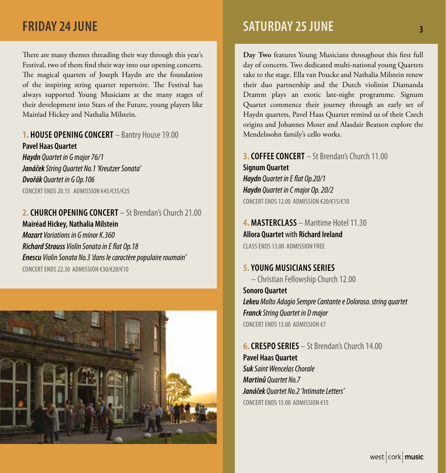There are many themes threading their way through this year's Festival, two of them find their way into our opening concerts. The magical quartets of Joseph Haydn are the foundation of the inspiring string quartet repertoire. The Festival has always supported Young Musicians at the many stages of their development into Stars of the Future, young players like Mairéad Hickey and Nathalia Milstein.

#### **1. HOUSE OPENING CONCERT** – Bantry House 19.00 **Pavel Haas Quartet**

*Haydn Quartet in G major 76/1 Janáček String Quartet No.1 'Kreutzer Sonata' Dvořák Quartet in G Op.106* CONCERT ENDS 20.15 ADMISSION €45/€35/€25

### **2. CHURCH OPENING CONCERT** – St Brendan's Church 21.00 **Mairéad Hickey, Nathalia Milstein**

*Mozart Variations in G minor K.360 Richard Strauss Violin Sonata in E flat Op.18 Enescu Violin Sonata No.3 'dans le caractère populaire roumain'* CONCERT ENDS 22.30 ADMISSION €30/€20/€10



# **FRIDAY 24 JUNE 3 3 SATURDAY 25 JUNE 3 3 SATURDAY 25 JUNE 3 3 ATURDAY 25 JUNE 3 3 ATURDAY 25 JUNE 3 3 ATURDAY 25 JUNE 3 3 ATURDAY 25 JUNE 3 3 ATURDAY 25 JUNE 3 3 ATURDAY 25 JUNE 3**  $\frac{1}{3}$

**Day Two** features Young Musicians throughout this first full day of concerts. Two dedicated multi-national young Quartets take to the stage. Ella van Poucke and Nathalia Milstein renew their duo partnership and the Dutch violinist Diamanda Dramm plays an exotic late-night programme. Signum Quartet commence their journey through an early set of Haydn quartets, Pavel Haas Quartet remind us of their Czech origins and Johannes Moser and Alasdair Beatson explore the Mendelssohn family's cello works.

**3. COFFEE CONCERT** – St Brendan's Church 11.00 **Signum Quartet** *Haydn Quartet in E flat Op.20/1 Haydn Quartet in C major Op. 20/2* CONCERT ENDS 12.00 ADMISSION €20/€15/€10

**4. MASTERCLASS** – Maritime Hotel 11.30 **Allora Quartet** with **Richard Ireland** CLASS ENDS 13.00 ADMISSION FREE

#### **5. YOUNG MUSICIANS SERIES**

– Christian Fellowship Church 12.00 **Sonoro Quartet** *Lekeu Molto Adagio Sempre Cantante e Doloroso. string quartet Franck String Quartet in D major* CONCERT ENDS 13.00 ADMISSION €7

**6. CRESPO SERIES** – St Brendan's Church 14.00 **Pavel Haas Quartet** *Suk Saint Wencelas Chorale Martinů Quartet No.7 Janáček Quartet No.2 'Intimate Letters'* CONCERT ENDS 15.00 ADMISSION €15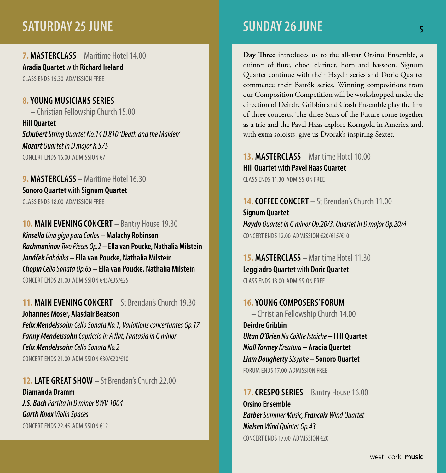# **SATURDAY 25 JUNE 5 AT LOCAL CONTRACT AND SUNDAY 26 JUNE 5 AT LOCAL CONTRACT AND LOCAL CONTRACT AND LOCAL CONTR**

**7. MASTERCLASS** – Maritime Hotel 14.00 **Aradia Quartet** with **Richard Ireland** CLASS ENDS 15.30 ADMISSION FREE

**8. YOUNG MUSICIANS SERIES** – Christian Fellowship Church 15.00 **Hill Quartet** *Schubert String Quartet No.14 D.810 'Death and the Maiden' Mozart Quartet in D major K.575* CONCERT ENDS 16.00 ADMISSION €7

**9. MASTERCLASS** – Maritime Hotel 16.30 **Sonoro Quartet** with **Signum Quartet** CLASS ENDS 18.00 ADMISSION FREE

**10. MAIN EVENING CONCERT** – Bantry House 19.30 *Kinsella Una giga para Carlos* **– Malachy Robinson** *Rachmaninov Two Pieces Op.2* **– Ella van Poucke, Nathalia Milstein** *Janáček Pohádka* **– Ella van Poucke, Nathalia Milstein** *Chopin Cello Sonata Op.65* **– Ella van Poucke, Nathalia Milstein** CONCERT ENDS 21.00 ADMISSION €45/€35/€25

**11. MAIN EVENING CONCERT** – St Brendan's Church 19.30 **Johannes Moser, Alasdair Beatson** *Felix Mendelssohn Cello Sonata No.1, Variations concertantes Op.17 Fanny Mendelssohn Capriccio in A flat, Fantasia in G minor Felix Mendelssohn Cello Sonata No.2* CONCERT ENDS 21.00 ADMISSION €30/€20/€10

**12. LATE GREAT SHOW** – St Brendan's Church 22.00 **Diamanda Dramm** *J.S. Bach Partita in D minor BWV 1004 Garth Knox Violin Spaces* CONCERT ENDS 22.45 ADMISSION €12

# **SUNDAY 26 JUNE**

**Day Three** introduces us to the all-star Orsino Ensemble, a quintet of flute, oboe, clarinet, horn and bassoon. Signum Quartet continue with their Haydn series and Doric Quartet commence their Bartók series. Winning compositions from our Composition Competition will be workshopped under the direction of Deirdre Gribbin and Crash Ensemble play the first of three concerts. The three Stars of the Future come together as a trio and the Pavel Haas explore Korngold in America and, with extra soloists, give us Dvorak's inspiring Sextet.

**13. MASTERCLASS** – Maritime Hotel 10.00 **Hill Quartet** with **Pavel Haas Quartet** CLASS ENDS 11.30 ADMISSION FREE

**14. COFFEE CONCERT** – St Brendan's Church 11.00 **Signum Quartet** *Haydn Quartet in G minor Op.20/3, Quartet in D major Op.20/4* CONCERT ENDS 12.00 ADMISSION €20/€15/€10

**15. MASTERCLASS** – Maritime Hotel 11.30 **Leggiadro Quartet** with **Doric Quartet** CLASS ENDS 13.00 ADMISSION FREE

**16. YOUNG COMPOSERS' FORUM** – Christian Fellowship Church 14.00 **Deirdre Gribbin** *Ultan O'Brien Na Coillte Istoiche –* **Hill Quartet** *Niall Tormey Kreatura –* **Aradia Quartet** *Liam Dougherty Sisyphe –* **Sonoro Quartet** FORUM ENDS 17.00 ADMISSION FREE

**17. CRESPO SERIES** – Bantry House 16.00 **Orsino Ensemble** *Barber Summer Music, Francaix Wind Quartet Nielsen Wind Quintet Op.43* CONCERT ENDS 17.00 ADMISSION €20

west  $|{\rm cork}|$  music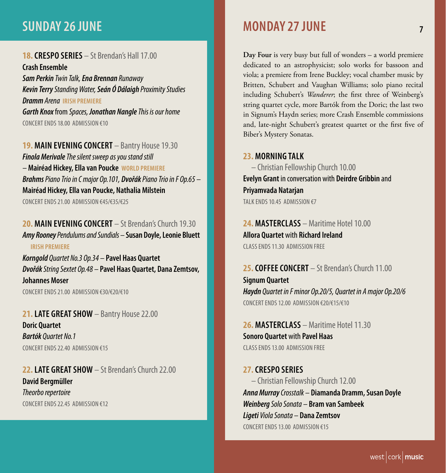# **SUNDAY 26 JUNE 7 MONDAY 27 JUNE**

#### **18. CRESPO SERIES** – St Brendan's Hall 17.00

**Crash Ensemble** *Sam Perkin Twin Talk, Ena Brennan Runaway Kevin Terry Standing Water, Seán Ó Dálaigh Proximity Studies Dramm Arena* **IRISH PREMIERE** *Garth Knox* from *Spaces, Jonathan Nangle This is our home* CONCERT ENDS 18.00 ADMISSION €10

**19. MAIN EVENING CONCERT** – Bantry House 19.30 *Finola Merivale The silent sweep as you stand still –* **Mairéad Hickey, Ella van Poucke WORLD PREMIERE** *Brahms Piano Trio in C major Op.101, Dvořák Piano Trio in F Op.65 –*  **Mairéad Hickey, Ella van Poucke, Nathalia Milstein** CONCERT ENDS 21.00 ADMISSION €45/€35/€25

**20. MAIN EVENING CONCERT** – St Brendan's Church 19.30 *Amy Rooney Pendulums and Sundials –* **Susan Doyle, Leonie Bluett IRISH PREMIERE** *Korngold Quartet No.3 Op.34 –* **Pavel Haas Quartet**

*Dvořák String Sextet Op.48 –* **Pavel Haas Quartet, Dana Zemtsov, Johannes Moser** CONCERT ENDS 21.00 ADMISSION €30/€20/€10

**21. LATE GREAT SHOW** – Bantry House 22.00 **Doric Quartet** *Bartók Quartet No.1* CONCERT ENDS 22.40 ADMISSION €15

**22. LATE GREAT SHOW** – St Brendan's Church 22.00 **David Bergmüller** *Theorbo repertoire* CONCERT ENDS 22.45 ADMISSION €12

**Day Four** is very busy but full of wonders – a world premiere dedicated to an astrophysicist; solo works for bassoon and viola; a premiere from Irene Buckley; vocal chamber music by Britten, Schubert and Vaughan Williams; solo piano recital including Schubert's *Wanderer*; the first three of Weinberg's string quartet cycle, more Bartók from the Doric; the last two in Signum's Haydn series; more Crash Ensemble commissions and, late-night Schubert's greatest quartet or the first five of Biber's Mystery Sonatas.

#### **23. MORNING TALK**

– Christian Fellowship Church 10.00 **Evelyn Grant** in conversation with **Deirdre Gribbin** and **Priyamvada Natarjan** TALK FNDS 10.45 ADMISSION €7

**24. MASTERCLASS** – Maritime Hotel 10.00 **Allora Quartet** with **Richard Ireland** CLASS ENDS 11.30. ADMISSION FREE

**25. COFFEE CONCERT** – St Brendan's Church 11.00 **Signum Quartet** *Haydn Quartet in F minor Op.20/5, Quartet in A major Op.20/6* CONCERT ENDS 12.00 ADMISSION €20/€15/€10

**26. MASTERCLASS** – Maritime Hotel 11.30 **Sonoro Quartet** with **Pavel Haas** CLASS ENDS 13.00 ADMISSION FREE

#### **27. CRESPO SERIES**

– Christian Fellowship Church 12.00 *Anna Murray Crosstalk –* **Diamanda Dramm, Susan Doyle** *Weinberg Solo Sonata –* **Bram van Sambeek** *Ligeti Viola Sonata –* **Dana Zemtsov** CONCERT ENDS 13.00 ADMISSION €15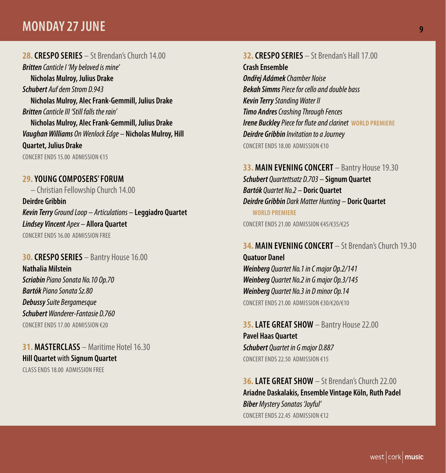## **MONDAY 27 JUNE 9**

#### **28. CRESPO SERIES** – St Brendan's Church 14.00

*Britten Canticle I 'My beloved is mine'*  **Nicholas Mulroy, Julius Drake** *Schubert Auf dem Strom D.943* **Nicholas Mulroy, Alec Frank-Gemmill, Julius Drake** *Britten Canticle III 'Still falls the rain'*  **Nicholas Mulroy, Alec Frank-Gemmill, Julius Drake** *Vaughan Williams On Wenlock Edge –* **Nicholas Mulroy, Hill Quartet, Julius Drake**

CONCERT ENDS 15.00 ADMISSION €15

#### **29. YOUNG COMPOSERS' FORUM**

– Christian Fellowship Church 14.00 **Deirdre Gribbin** *Kevin Terry Ground Loop – Articulations –* **Leggiadro Quartet** *Lindsey Vincent Apex –* **Allora Quartet** CONCERT ENDS 16.00 ADMISSION FREE

#### **30. CRESPO SERIES** – Bantry House 16.00

**Nathalia Milstein** *Scriabin Piano Sonata No.10 Op.70 Bartók Piano Sonata Sz.80 Debussy Suite Bergamesque Schubert Wanderer-Fantasie D.760* CONCERT ENDS 17.00 ADMISSION €20

**31. MASTERCLASS** – Maritime Hotel 16.30 **Hill Quartet** with **Signum Quartet**

CLASS ENDS 18.00 ADMISSION FREE

### **32. CRESPO SERIES** – St Brendan's Hall 17.00 **Crash Ensemble** *Ondřej Adámek Chamber Noise Bekah Simms Piece for cello and double bass Kevin Terry Standing Water II Timo Andres Crashing Through Fences Irene Buckley Piece for flute and clarinet* **WORLD PREMIERE** *Deirdre Gribbin Invitation to a Journey* CONCERT ENDS 18.00 ADMISSION €10

#### **33. MAIN EVENING CONCERT** – Bantry House 19.30 *Schubert Quartettsatz D.703 –* **Signum Quartet** *Bartók Quartet No.2 –* **Doric Quartet** *Deirdre Gribbin Dark Matter Hunting –* **Doric Quartet WORLD PREMIERE** CONCERT ENDS 21.00 ADMISSION €45/€35/€25

#### **34. MAIN FVENING CONCERT** - St Brendan's Church 19.30.

**Quatuor Danel** *Weinberg Quartet No.1 in C major Op.2/141 Weinberg Quartet No.2 in G major Op.3/145 Weinberg Quartet No.3 in D minor Op.14* CONCERT ENDS 21.00 ADMISSION €30/€20/€10

**35. LATE GREAT SHOW** – Bantry House 22.00 **Pavel Haas Quartet** *Schubert Quartet in G major D.887* CONCERT ENDS 22.50 ADMISSION €15

**36. LATE GREAT SHOW** – St Brendan's Church 22.00 **Ariadne Daskalakis, Ensemble Vintage Köln, Ruth Padel**  *Biber Mystery Sonatas 'Joyful'* CONCERT ENDS 22.45 ADMISSION €12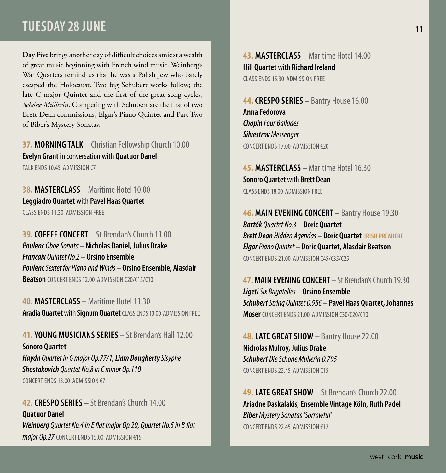# **TUESDAY 28 JUNE 11 12 12 13 14 14 15 16 17 18 18 19 10 11 12 14 15 17 18 17 18 17 18 17 18 17 18 17 18 17 18**

**Day Five** brings another day of difficult choices amidst a wealth of great music beginning with French wind music. Weinberg's War Quartets remind us that he was a Polish Jew who barely escaped the Holocaust. Two big Schubert works follow; the late C major Quintet and the first of the great song cycles, *Schöne Müllerin*. Competing with Schubert are the first of two Brett Dean commissions, Elgar's Piano Quintet and Part Two of Biber's Mystery Sonatas.

#### **37. MORNING TALK** – Christian Fellowship Church 10.00 **Evelyn Grant** in conversation with **Quatuor Danel** TALK ENDS 10.45 ADMISSION €7

**38. MASTERCLASS** – Maritime Hotel 10.00 **Leggiadro Quartet** with **Pavel Haas Quartet** CLASS ENDS 11.30. ADMISSION FREE

**39. COFFEE CONCERT** – St Brendan's Church 11.00 *Poulenc Oboe Sonata –* **Nicholas Daniel, Julius Drake** *Francaix Quintet No.2 –* **Orsino Ensemble** *Poulenc Sextet for Piano and Winds –* **Orsino Ensemble, Alasdair Beatson** CONCERT ENDS 12.00 ADMISSION €20/€15/€10

**40. MASTERCLASS** – Maritime Hotel 11.30 **Aradia Quartet** with **Signum Quartet** CLASS ENDS 13.00 ADMISSION FREE

**41. YOUNG MUSICIANS SERIES** – St Brendan's Hall 12.00 **Sonoro Quartet** *Haydn Quartet in G major Op.77/1, Liam Dougherty Sisyphe Shostakovich Quartet No.8 in C minor Op.110* CONCERT ENDS 13.00 ADMISSION €7

**42. CRESPO SERIES** – St Brendan's Church 14.00 **Quatuor Danel** *Weinberg Quartet No.4 in E flat major Op.20, Quartet No.5 in B flat major Op.27* CONCERT ENDS 15.00 ADMISSION €15

**43. MASTERCLASS** – Maritime Hotel 14.00 **Hill Quartet** with **Richard Ireland** CLASS ENDS 15.30 ADMISSION FREE

**44. CRESPO SERIES** – Bantry House 16.00 **Anna Fedorova** *Chopin Four Ballades Silvestrov Messenger* CONCERT ENDS 17.00 ADMISSION €20

**45. MASTERCLASS** – Maritime Hotel 16.30 **Sonoro Quartet** with **Brett Dean**  CLASS ENDS 18.00 ADMISSION FREE

**46. MAIN EVENING CONCERT** – Bantry House 19.30 *Bartók Quartet No.3 –* **Doric Quartet** *Brett Dean Hidden Agendas –* **Doric Quartet IRISH PREMIERE** *Elgar Piano Quintet –* **Doric Quartet, Alasdair Beatson** CONCERT ENDS 21.00 ADMISSION €45/€35/€25

**47. MAIN EVENING CONCERT** – St Brendan's Church 19.30 *Ligeti Six Bagatelles –* **Orsino Ensemble** *Schubert String Quintet D.956 –* **Pavel Haas Quartet, Johannes Moser** CONCERT ENDS 21.00 ADMISSION €30/€20/€10

**48. LATE GREAT SHOW** – Bantry House 22.00 **Nicholas Mulroy, Julius Drake** *Schubert Die Schone Mullerin D.795* CONCERT ENDS 22.45 ADMISSION €15

**49. LATE GREAT SHOW** – St Brendan's Church 22.00 **Ariadne Daskalakis, Ensemble Vintage Köln, Ruth Padel** *Biber Mystery Sonatas 'Sorrowful'* CONCERT ENDS 22.45 ADMISSION €12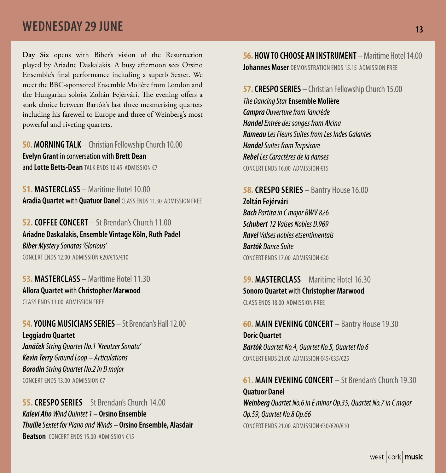# **WEDNESDAY 29 JUNE 13 AND 13 AND 13 AND 13 AND 13 AND 13 AND 13 AND 13 AND 13 AND 13 AND 13 AND 13 AND 13 AND 13**

**Day Six** opens with Biber's vision of the Resurrection played by Ariadne Daskalakis. A busy afternoon sees Orsino Ensemble's final performance including a superb Sextet. We meet the BBC-sponsored Ensemble Molière from London and the Hungarian soloist Zoltán Fejérvári. The evening offers a stark choice between Bartók's last three mesmerising quartets including his farewell to Europe and three of Weinberg's most powerful and riveting quartets.

**50. MORNING TALK** – Christian Fellowship Church 10.00 **Evelyn Grant** in conversation with **Brett Dean** and **Lotte Betts-Dean** TALK ENDS 10.45 ADMISSION €7

**51. MASTERCLASS** – Maritime Hotel 10.00 **Aradia Quartet** with **Quatuor Danel** CLASS ENDS 11.30 ADMISSION FREE

**52. COFFEE CONCERT** – St Brendan's Church 11.00 **Ariadne Daskalakis, Ensemble Vintage Köln, Ruth Padel** *Biber Mystery Sonatas 'Glorious'* CONCERT ENDS 12.00 ADMISSION €20/€15/€10

**53. MASTERCLASS** – Maritime Hotel 11.30 **Allora Quartet** with **Christopher Marwood**

CLASS ENDS 13.00 ADMISSION FREE

**54. YOUNG MUSICIANS SERIES** – St Brendan's Hall 12.00 **Leggiadro Quartet**

*Janáček String Quartet No.1 'Kreutzer Sonata' Kevin Terry Ground Loop – Articulations Borodin String Quartet No.2 in D major* CONCERT ENDS 13.00 ADMISSION €7

**55. CRESPO SERIES** – St Brendan's Church 14.00 *Kalevi Aho Wind Quintet 1 –* **Orsino Ensemble** *Thuille Sextet for Piano and Winds –* **Orsino Ensemble, Alasdair Beatson** CONCERT ENDS 15.00 ADMISSION €15

**56. HOW TO CHOOSE AN INSTRUMENT** – Maritime Hotel 14.00 **Johannes Moser** DEMONSTRATION ENDS 15.15 ADMISSION FREE

**57. CRESPO SERIES** – Christian Fellowship Church 15.00 *The Dancing Star* **Ensemble Molière** *Campra Ouverture from Tancrède Handel Entrée des songes from Alcina Rameau Les Fleurs Suites from Les Indes Galantes Handel Suites from Terpsicore Rebel Les Caractères de la danses* CONCERT ENDS 16.00 ADMISSION €15

**58. CRESPO SERIES** – Bantry House 16.00 **Zoltán Fejérvári** *Bach Partita in C major BWV 826 Schubert 12 Valses Nobles D.969 Ravel Valses nobles etsentimentals Bartók Dance Suite* CONCERT ENDS 17.00 ADMISSION €20

**59. MASTERCLASS** – Maritime Hotel 16.30 **Sonoro Quartet** with **Christopher Marwood** CLASS ENDS 18.00 ADMISSION FREE

**60. MAIN EVENING CONCERT** – Bantry House 19.30 **Doric Quartet** *Bartók Quartet No.4, Quartet No.5, Quartet No.6* CONCERT ENDS 21.00 ADMISSION €45/€35/€25

**61. MAIN EVENING CONCERT** – St Brendan's Church 19.30 **Quatuor Danel** *Weinberg Quartet No.6 in E minor Op.35, Quartet No.7 in C major Op.59, Quartet No.8 Op.66* CONCERT ENDS 21.00 ADMISSION €30/€20/€10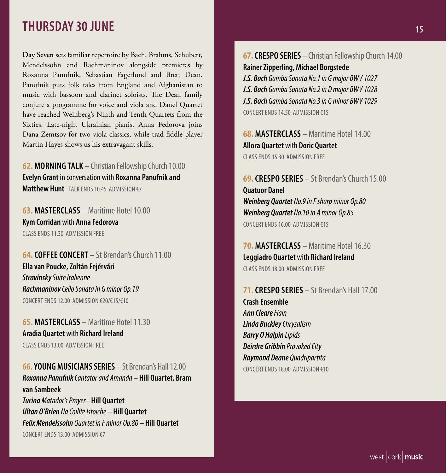## **THURSDAY 30 JUNE 15 AND 15 AND 15 AND 15 AND 15 AND 15 AND 15 AND 15 AND 15 AND 15**

**Day Seven** sets familiar repertoire by Bach, Brahms, Schubert, Mendelssohn and Rachmaninov alongside premieres by Roxanna Panufnik, Sebastian Fagerlund and Brett Dean. Panufnik puts folk tales from England and Afghanistan to music with bassoon and clarinet soloists. The Dean family conjure a programme for voice and viola and Danel Quartet have reached Weinberg's Ninth and Tenth Quartets from the Sixties. Late-night Ukrainian pianist Anna Fedorova joins Dana Zemtsov for two viola classics, while trad fiddle player Martin Hayes shows us his extravagant skills.

**62. MORNING TALK** – Christian Fellowship Church 10.00 **Evelyn Grant** in conversation with **Roxanna Panufnik and Matthew Hunt** TALK ENDS 10.45 ADMISSION €7

**63. MASTERCLASS** – Maritime Hotel 10.00 **Kym Corridan** with **Anna Fedorova** CLASS ENDS 11.30. ADMISSION FREE

**64. COFFEE CONCERT** – St Brendan's Church 11.00 **Ella van Poucke, Zoltán Fejérvári** *Stravinsky Suite Italienne Rachmaninov Cello Sonata in G minor Op.19* CONCERT ENDS 12.00 ADMISSION €20/€15/€10

**65. MASTERCLASS** – Maritime Hotel 11.30 **Aradia Quartet** with **Richard Ireland** CLASS ENDS 13.00 ADMISSION FREE

**66. YOUNG MUSICIANS SERIES** – St Brendan's Hall 12.00 *Roxanna Panufnik Cantator and Amanda –* **Hill Quartet, Bram van Sambeek** *Turina Matador's Prayer–* **Hill Quartet** *Ultan O'Brien Na Coillte Istoiche –* **Hill Quartet** *Felix Mendelssohn Quartet in F minor Op.80 –* **Hill Quartet** CONCERT ENDS 13.00 ADMISSION €7

**67. CRESPO SERIES** – Christian Fellowship Church 14.00 **Rainer Zipperling, Michael Borgstede** *J.S. Bach Gamba Sonata No.1 in G major BWV 1027*

*J.S. Bach Gamba Sonata No.2 in D major BWV 1028 J.S. Bach Gamba Sonata No.3 in G minor BWV 1029* CONCERT ENDS 14.50 ADMISSION €15

**68. MASTERCLASS** – Maritime Hotel 14.00 **Allora Quartet** with **Doric Quartet** CLASS ENDS 15.30 ADMISSION FREE

**69. CRESPO SERIES** – St Brendan's Church 15.00 **Quatuor Danel** *Weinberg Quartet No.9 in F sharp minor Op.80 Weinberg Quartet No.10 in A minor Op.85* CONCERT ENDS 16.00 ADMISSION €15

**70. MASTERCLASS** – Maritime Hotel 16.30 **Leggiadro Quartet** with **Richard Ireland** CLASS ENDS 18.00 ADMISSION FREE

**71. CRESPO SERIES** – St Brendan's Hall 17.00 **Crash Ensemble** *Ann Cleare Fiain Linda Buckley Chrysalism Barry O Halpin Lipids Deirdre Gribbin Provoked City Raymond Deane Quadripartita* CONCERT ENDS 18.00 ADMISSION €10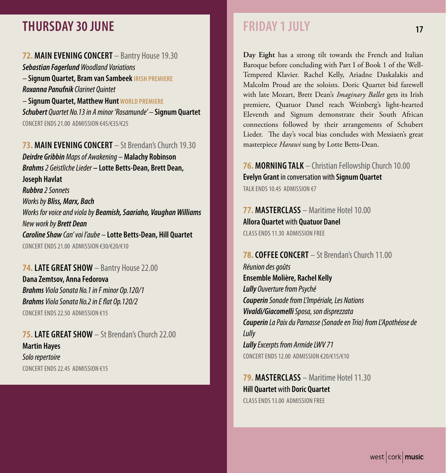# **THURSDAY 30 JUNE**

#### **72. MAIN EVENING CONCERT** – Bantry House 19.30

*Sebastian Fagerlund Woodland Variations –* **Signum Quartet, Bram van Sambeek IRISH PREMIERE** *Roxanna Panufnik Clarinet Quintet –* **Signum Quartet, Matthew Hunt WORLD PREMIERE** *Schubert Quartet No.13 in A minor 'Rosamunde' –* **Signum Quartet**

CONCERT ENDS 21.00 ADMISSION €45/€35/€25

#### **73. MAIN EVENING CONCERT** – St Brendan's Church 19.30

*Deirdre Gribbin Maps of Awakening –* **Malachy Robinson** *Brahms 2 Geistliche Lieder* **– Lotte Betts-Dean, Brett Dean, Joseph Havlat** *Rubbra 2 Sonnets Works by Bliss, Marx, Bach Works for voice and viola by Beamish, Saariaho, Vaughan Williams New work by Brett Dean Caroline Shaw Can' voi l'aube –* **Lotte Betts-Dean, Hill Quartet** CONCERT ENDS 21.00 ADMISSION €30/€20/€10

#### **74. LATE GREAT SHOW** – Bantry House 22.00

**Dana Zemtsov, Anna Fedorova** *Brahms Viola Sonata No.1 in F minor Op.120/1 Brahms Viola Sonata No.2 in E flat Op.120/2* CONCERT ENDS 22.50 ADMISSION €15

**75. LATE GREAT SHOW** – St Brendan's Church 22.00 **Martin Hayes** *Solo repertoire* CONCERT ENDS 22.45 ADMISSION €15

# **FRIDAY 1 JULY**

**Day Eight** has a strong tilt towards the French and Italian Baroque before concluding with Part I of Book 1 of the Well-Tempered Klavier. Rachel Kelly, Ariadne Daskalakis and Malcolm Proud are the soloists. Doric Quartet bid farewell with late Mozart, Brett Dean's *Imaginary Ballet* gets its Irish premiere, Quatuor Danel reach Weinberg's light-hearted Eleventh and Signum demonstrate their South African connections followed by their arrangements of Schubert Lieder. The day's vocal bias concludes with Messiaen's great masterpiece *Harawi* sung by Lotte Betts-Dean.

#### **76. MORNING TALK** – Christian Fellowship Church 10.00 **Evelyn Grant** in conversation with **Signum Quartet** TALK FNDS 10.45 ADMISSION €7

### **77. MASTERCLASS** – Maritime Hotel 10.00 **Allora Quartet** with **Quatuor Danel** CLASS ENDS 11.30 ADMISSION FREE

### **78. COFFEE CONCERT** – St Brendan's Church 11.00

*Réunion des goûts* **Ensemble Molière, Rachel Kelly** *Lully Ouverture from Psyché Couperin Sonade from L'Impériale, Les Nations Vivaldi/Giacomelli Sposa, son disprezzata Couperin La Paix du Parnasse (Sonade en Trio) from L'Apothéose de Lully Lully Excerpts from Armide LWV 71* CONCERT ENDS 12.00 ADMISSION €20/€15/€10

**79. MASTERCLASS** – Maritime Hotel 11.30 **Hill Quartet** with **Doric Quartet** CLASS ENDS 13.00 ADMISSION FREE

 **17**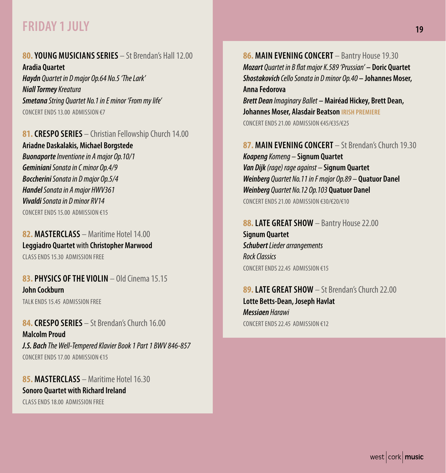# **FRIDAY 1 JULY** 19

### **80. YOUNG MUSICIANS SERIES** – St Brendan's Hall 12.00

**Aradia Quartet** *Haydn Quartet in D major Op.64 No.5 'The Lark' Niall Tormey Kreatura Smetana String Quartet No.1 in E minor 'From my life'* CONCERT ENDS 13.00 ADMISSION €7

**81. CRESPO SERIES** – Christian Fellowship Church 14.00 **Ariadne Daskalakis, Michael Borgstede** *Buonaporte Inventione in A major Op.10/1 Geminiani Sonata in C minor Op.4/9 Boccherini Sonata in D major Op.5/4 Handel Sonata in A major HWV361 Vivaldi Sonata in D minor RV14* CONCERT ENDS 15.00 ADMISSION €15

**82. MASTERCLASS** – Maritime Hotel 14.00 **Leggiadro Quartet** with **Christopher Marwood** CLASS ENDS 15.30 ADMISSION FREE

#### **83. PHYSICS OF THE VIOLIN** – Old Cinema 15.15 **John Cockburn** TALK ENDS 15.45 ADMISSION FREE

**84. CRESPO SERIES** – St Brendan's Church 16.00 **Malcolm Proud** *J.S. Bach The Well-Tempered Klavier Book 1 Part 1 BWV 846-857* CONCERT ENDS 17.00 ADMISSION €15

**85. MASTERCLASS** – Maritime Hotel 16.30 **Sonoro Quartet with Richard Ireland** CLASS ENDS 18.00 ADMISSION FREE

**86. MAIN EVENING CONCERT** – Bantry House 19.30 *Mozart Quartet in B flat major K.589 'Prussian'* **– Doric Quartet** *Shostakovich Cello Sonata in D minor Op.40* **– Johannes Moser, Anna Fedorova** *Brett Dean Imaginary Ballet* **– Mairéad Hickey, Brett Dean, Johannes Moser, Alasdair Beatson IRISH PREMIERE** CONCERT ENDS 21.00 ADMISSION €45/€35/€25

**87. MAIN EVENING CONCERT** – St Brendan's Church 19.30 *Koapeng Komeng –* **Signum Quartet** *Van Dijk (rage) rage against –* **Signum Quartet** *Weinberg Quartet No.11 in F major Op.89 –* **Quatuor Danel** *Weinberg Quartet No.12 Op.103* **Quatuor Danel** CONCERT ENDS 21.00 ADMISSION €30/€20/€10

**88. LATE GREAT SHOW** – Bantry House 22.00 **Signum Quartet** *Schubert Lieder arrangements Rock Classics* CONCERT ENDS 22.45 ADMISSION €15

**89. LATE GREAT SHOW** – St Brendan's Church 22.00 **Lotte Betts-Dean, Joseph Havlat** *Messiaen Harawi* CONCERT ENDS 22.45 ADMISSION €12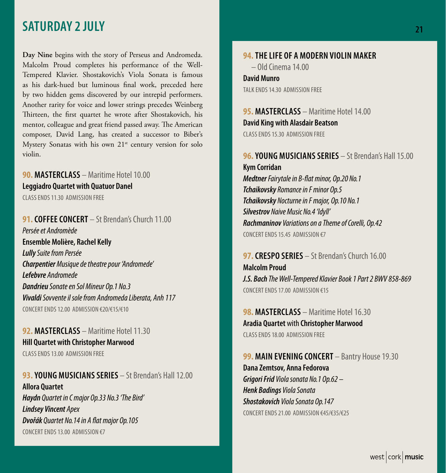## **SATURDAY 2 JULY 21**

**Day Nine** begins with the story of Perseus and Andromeda. Malcolm Proud completes his performance of the Well-Tempered Klavier. Shostakovich's Viola Sonata is famous as his dark-hued but luminous final work, preceded here by two hidden gems discovered by our intrepid performers. Another rarity for voice and lower strings precedes Weinberg Thirteen, the first quartet he wrote after Shostakovich, his mentor, colleague and great friend passed away. The American composer, David Lang, has created a successor to Biber's Mystery Sonatas with his own  $21<sup>st</sup>$  century version for solo violin.

#### **90. MASTERCLASS** – Maritime Hotel 10.00 **Leggiadro Quartet with Quatuor Danel** CLASS ENDS 11.30. ADMISSION FREE

**91. COFFFE CONCERT** – St Brendan's Church 11.00 *Persée et Andromède* **Ensemble Molière, Rachel Kelly** *Lully Suite from Persée Charpentier Musique de theatre pour 'Andromede' Lefebvre Andromede Dandrieu Sonate en Sol Mineur Op.1 No.3 Vivaldi Sovvente il sole from Andromeda Liberata, Anh 117* CONCERT ENDS 12.00 ADMISSION €20/€15/€10

#### **92. MASTERCLASS** – Maritime Hotel 11.30 **Hill Quartet with Christopher Marwood** CLASS ENDS 13.00 ADMISSION FREE

**93. YOUNG MUSICIANS SERIES** – St Brendan's Hall 12.00 **Allora Quartet** *Haydn Quartet in C major Op.33 No.3 'The Bird' Lindsey Vincent Apex Dvořák Quartet No.14 in A flat major Op.105* CONCERT ENDS 13.00 ADMISSION €7

### **94. THE LIFE OF A MODERN VIOLIN MAKER**

– Old Cinema 14.00

#### **David Munro** TALK ENDS 14.30 ADMISSION FREE

**95. MASTERCLASS** - Maritime Hotel 14.00 **David King with Alasdair Beatson**  CLASS ENDS 15.30 ADMISSION FREE

### **96. YOUNG MUSICIANS SERIES** – St Brendan's Hall 15.00

**Kym Corridan** *Medtner Fairytale in B-flat minor, Op.20 No.1 Tchaikovsky Romance in F minor Op.5 Tchaikovsky Nocturne in F major, Op.10 No.1 Silvestrov Naive Music No.4 'Idyll' Rachmaninov Variations on a Theme of Corelli, Op.42* CONCERT ENDS 15.45 ADMISSION €7

**97. CRESPO SERIES** – St Brendan's Church 16.00 **Malcolm Proud** *J.S. Bach The Well-Tempered Klavier Book 1 Part 2 BWV 858-869* CONCERT ENDS 17.00 ADMISSION €15

**98. MASTERCLASS** – Maritime Hotel 16.30 **Aradia Quartet** with **Christopher Marwood**  CLASS ENDS 18.00 ADMISSION FREE

#### **99. MAIN EVENING CONCERT** – Bantry House 19.30 **Dana Zemtsov, Anna Fedorova** *Grigori Frid Viola sonata No.1 Op.62 – Henk Badings Viola Sonata Shostakovich Viola Sonata Op.147* CONCERT ENDS 21.00 ADMISSION €45/€35/€25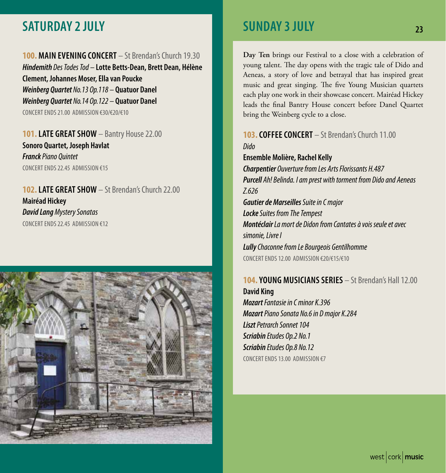# **SATURDAY 2 JULY 23**

**100. MAIN EVENING CONCERT** – St Brendan's Church 19.30 *Hindemith Des Todes Tod –* **Lotte Betts-Dean, Brett Dean, Hélène Clement, Johannes Moser, Ella van Poucke** *Weinberg Quartet No.13 Op.118 –* **Quatuor Danel** *Weinberg Quartet No.14 Op.122 –* **Quatuor Danel** CONCERT ENDS 21.00 ADMISSION €30/€20/€10

**101. LATE GREAT SHOW** – Bantry House 22.00 **Sonoro Quartet, Joseph Havlat** *Franck Piano Quintet* CONCERT ENDS 22.45 ADMISSION €15

**102. LATE GREAT SHOW** – St Brendan's Church 22.00 **Mairéad Hickey** *David Lang Mystery Sonatas* CONCERT ENDS 22.45 ADMISSION €12



# **SUNDAY 3 JULY**

**Day Ten** brings our Festival to a close with a celebration of young talent. The day opens with the tragic tale of Dido and Aeneas, a story of love and betrayal that has inspired great music and great singing. The five Young Musician quartets each play one work in their showcase concert. Mairéad Hickey leads the final Bantry House concert before Danel Quartet bring the Weinberg cycle to a close.

**103. COFFEE CONCERT** – St Brendan's Church 11.00 *Dido* **Ensemble Molière, Rachel Kelly** *Charpentier Ouverture from Les Arts Florissants H.487 Purcell Ah! Belinda. I am prest with torment from Dido and Aeneas Z.626 Gautier de Marseilles Suite in C major Locke Suites from The Tempest Montéclair La mort de Didon from Cantates à vois seule et avec simonie, Livre I Lully Chaconne from Le Bourgeois Gentilhomme* CONCERT ENDS 12.00 ADMISSION €20/€15/€10

### **104. YOUNG MUSICIANS SERIES** – St Brendan's Hall 12.00 **David King**

*Mozart Fantasie in C minor K.396 Mozart Piano Sonata No.6 in D major K.284 Liszt Petrarch Sonnet 104 Scriabin Etudes Op.2 No.1 Scriabin Etudes Op.8 No.12* CONCERT ENDS 13.00 ADMISSION €7

west  $|{\rm cork}|$  music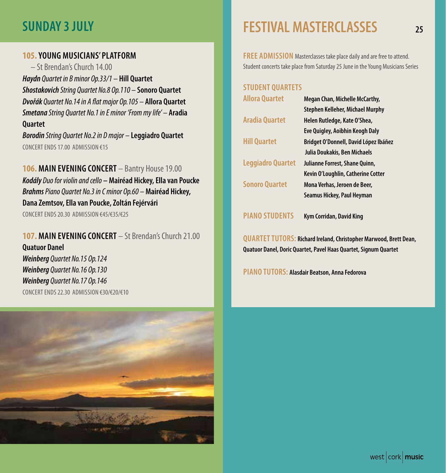#### **105. YOUNG MUSICIANS' PLATFORM**

– St Brendan's Church 14.00 *Haydn Quartet in B minor Op.33/1 –* **Hill Quartet** *Shostakovich String Quartet No.8 Op.110 –* **Sonoro Quartet** *Dvořák Quartet No.14 in A flat major Op.105 –* **Allora Quartet** *Smetana String Quartet No.1 in E minor 'From my life' –* **Aradia Quartet**

*Borodin String Quartet No.2 in D major –* **Leggiadro Quartet** CONCERT ENDS 17.00 ADMISSION €15

**106. MAIN EVENING CONCERT** – Bantry House 19.00 *Kodály Duo for violin and cello* **– Mairéad Hickey, Ella van Poucke** *Brahms Piano Quartet No.3 in C minor Op.60 –* **Mairéad Hickey, Dana Zemtsov, Ella van Poucke, Zoltán Fejérvári** CONCERT ENDS 20.30 ADMISSION €45/€35/€25

**107. MAIN EVENING CONCERT** – St Brendan's Church 21.00 **Quatuor Danel** *Weinberg Quartet No.15 Op.124 Weinberg Quartet No.16 Op.130 Weinberg Quartet No.17 Op.146* CONCERT ENDS 22.30 ADMISSION €30/€20/€10



# **SUNDAY 3 JULY 25 FESTIVAL MASTERCLASSES**

**FREE ADMISSION** Masterclasses take place daily and are free to attend. Student concerts take place from Saturday 25 June in the Young Musicians Series

#### **STUDENT QUARTETS**

| <b>Allora Quartet</b> | Megan Chan, Michelle McCarthy,<br>Stephen Kelleher, Michael Murphy |
|-----------------------|--------------------------------------------------------------------|
| <b>Aradia Quartet</b> | Helen Rutledge, Kate O'Shea,                                       |
|                       | Eve Quigley, Aoibhin Keogh Daly                                    |
| <b>Hill Quartet</b>   | Bridget O'Donnell, David López Ibáñez                              |
|                       | Julia Doukakis, Ben Michaels                                       |
| Leggiadro Quartet     | Julianne Forrest, Shane Quinn,                                     |
|                       | Kevin O'Loughlin, Catherine Cotter                                 |
| <b>Sonoro Quartet</b> | Mona Verhas, Jeroen de Beer,                                       |
|                       | Seamus Hickey, Paul Heyman                                         |

**PIANO STUDENTS Kym Corridan, David King**

**QUARTET TUTORS: Richard Ireland, Christopher Marwood, Brett Dean, Quatuor Danel, Doric Quartet, Pavel Haas Quartet, Signum Quartet**

**PIANO TUTORS: Alasdair Beatson, Anna Fedorova**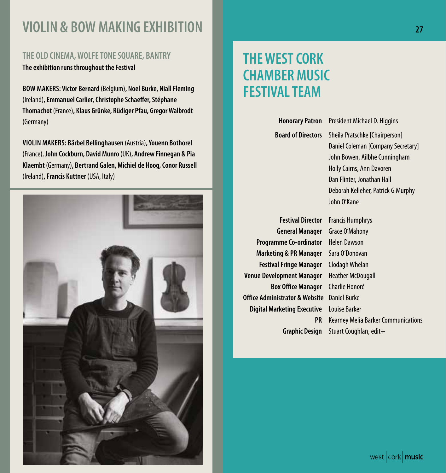# **VIOLIN & BOW MAKING EXHIBITION 27**

#### **THE OLD CINEMA, WOLFE TONE SQUARE, BANTRY**

**The exhibition runs throughout the Festival**

**BOW MAKERS: Victor Bernard** (Belgium)**, Noel Burke, Niall Fleming**  (Ireland)**, Emmanuel Carlier, Christophe Schaeffer, Stéphane Thomachot** (France)**, Klaus Grünke, Rüdiger Pfau, Gregor Walbrodt**  (Germany)

**VIOLIN MAKERS: Bärbel Bellinghausen** (Austria)**, Youenn Bothorel**  (France), **John Cockburn, David Munro** (UK)**, Andrew Finnegan & Pia Klaembt** (Germany)**, Bertrand Galen, Michiel de Hoog, Conor Russell**  (Ireland)**, Francis Kuttner** (USA, Italy)



# **THE WEST CORK CHAMBER MUSIC FESTIVAL TEAM**

**Honorary Patron** President Michael D. Higgins **Board of Directors** Sheila Pratschke [Chairperson] Daniel Coleman [Company Secretary] John Bowen, Ailbhe Cunningham Holly Cairns, Ann Davoren Dan Flinter, Jonathan Hall Deborah Kelleher, Patrick G Murphy John O'Kane

**General Manager** Grace O'Mahony **Programme Co-ordinator** Helen Dawson **Marketing & PR Manager** Sara O'Donovan **Festival Fringe Manager** Clodagh Whelan **Venue Development Manager** Heather McDougall **Box Office Manager** Charlie Honoré **Office Administrator & Website** Daniel Burke **Digital Marketing Executive** Louise Barker

**Festival Director** Francis Humphrys **PR** Kearney Melia Barker Communications **Graphic Design** Stuart Coughlan, edit+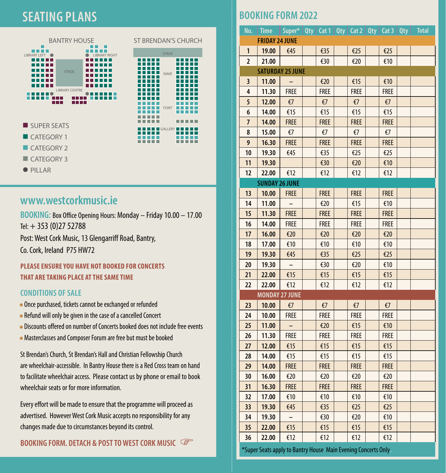# **SEATING PLANS**





- CATEGORY 1
- $CATFGORY$  2
- $CATFGORY$  3
- $PlIAR$

### **www.westcorkmusic.ie**

**BOOKING:** Box Office Opening Hours: Monday – Friday 10.00 – 17.00 Tel:  $+ 353 (0)27 52788$ Post: West Cork Music, 13 Glengarriff Road, Bantry,

Co. Cork, Ireland P75 HW72

#### **PLEASE ENSURE YOU HAVE NOT BOOKED FOR CONCERTS THAT ARE TAKING PLACE AT THE SAME TIME**

#### **CONDITIONS OF SALE**

- Once purchased, tickets cannot be exchanged or refunded
- Refund will only be given in the case of a cancelled Concert
- Discounts offered on number of Concerts booked does not include free events
- Masterclasses and Composer Forum are free but must be booked

St Brendan's Church, St Brendan's Hall and Christian Fellowship Church are wheelchair-accessible. In Bantry House there is a Red Cross team on hand to facilitate wheelchair access. Please contact us by phone or email to book wheelchair seats or for more information.

Every effort will be made to ensure that the programme will proceed as advertised. However West Cork Music accepts no responsibility for any changes made due to circumstances beyond its control.

#### **BOOKING FORM. DETACH & POST TO WEST CORK MUSIC**

### **BOOKING FORM 2022**

| No.                     | <b>Time</b>           | Super*   Qty   Cat 1   Qty   Cat 2   Qty   Cat 3   Qty |  |              |  |              |  |              |  | <b>Total</b> |  |
|-------------------------|-----------------------|--------------------------------------------------------|--|--------------|--|--------------|--|--------------|--|--------------|--|
| <b>FRIDAY 24 JUNE</b>   |                       |                                                        |  |              |  |              |  |              |  |              |  |
| 1                       | 19.00                 | €45                                                    |  | €35          |  | €25          |  | €25          |  |              |  |
| 2                       | 21.00                 |                                                        |  | €30          |  | €20          |  | €10          |  |              |  |
| <b>SATURDAY 25 JUNE</b> |                       |                                                        |  |              |  |              |  |              |  |              |  |
| 3                       | 11.00                 |                                                        |  | €20          |  | €15          |  | €10          |  |              |  |
| 4                       | 11.30                 | <b>FREE</b>                                            |  | <b>FREE</b>  |  | <b>FREE</b>  |  | <b>FREE</b>  |  |              |  |
| 5                       | 12.00                 | $\epsilon$ 7                                           |  | $\epsilon$ 7 |  | $\epsilon$ 7 |  | $\epsilon$ 7 |  |              |  |
| 6                       | 14.00                 | €15                                                    |  | €15          |  | €15          |  | €15          |  |              |  |
| 7                       | 14.00                 | <b>FREE</b>                                            |  | <b>FREE</b>  |  | <b>FREE</b>  |  | <b>FREE</b>  |  |              |  |
| 8                       | 15.00                 | $\epsilon$                                             |  | €7           |  | €7           |  | €7           |  |              |  |
| 9                       | 16.30                 | <b>FREE</b>                                            |  | <b>FREE</b>  |  | <b>FREE</b>  |  | <b>FREE</b>  |  |              |  |
| 10                      | 19.30                 | €45                                                    |  | €35          |  | €25          |  | €25          |  |              |  |
| 11                      | 19.30                 |                                                        |  | €30          |  | €20          |  | €10          |  |              |  |
| 12                      | 22.00                 | €12                                                    |  | €12          |  | €12          |  | €12          |  |              |  |
|                         | <b>SUNDAY 26 JUNE</b> |                                                        |  |              |  |              |  |              |  |              |  |
| 13                      | 10.00                 | <b>FREE</b>                                            |  | <b>FREE</b>  |  | <b>FREE</b>  |  | <b>FREE</b>  |  |              |  |
| 14                      | 11.00                 |                                                        |  | €20          |  | €15          |  | €10          |  |              |  |
| 15                      | 11.30                 | <b>FREE</b>                                            |  | <b>FREE</b>  |  | <b>FREE</b>  |  | <b>FREE</b>  |  |              |  |
| 16                      | 14.00                 | <b>FREE</b>                                            |  | <b>FREE</b>  |  | <b>FREE</b>  |  | <b>FREE</b>  |  |              |  |
| 17                      | 16.00                 | €20                                                    |  | €20          |  | €20          |  | €20          |  |              |  |
| 18                      | 17.00                 | €10                                                    |  | €10          |  | €10          |  | €10          |  |              |  |
| 19                      | 19.30                 | €45                                                    |  | €35          |  | €25          |  | €25          |  |              |  |
| 20                      | 19.30                 |                                                        |  | €30          |  | €20          |  | €10          |  |              |  |
| 21                      | 22.00                 | €15                                                    |  | €15          |  | €15          |  | €15          |  |              |  |
| 22                      | 22.00                 | €12                                                    |  | €12          |  | €12          |  | €12          |  |              |  |
|                         | <b>MONDAY 27 JUNE</b> |                                                        |  |              |  |              |  |              |  |              |  |
| 23                      | 10.00                 | $\xi$ 7                                                |  | $\epsilon$ 7 |  | €7           |  | $\epsilon$   |  |              |  |
| 24                      | 10.00                 | <b>FREE</b>                                            |  | <b>FREE</b>  |  | <b>FREE</b>  |  | <b>FREE</b>  |  |              |  |
| 25                      | 11.00                 |                                                        |  | €20          |  | €15          |  | €10          |  |              |  |
| 26                      | 11.30                 | <b>FREE</b>                                            |  | <b>FREE</b>  |  | <b>FREE</b>  |  | <b>FREE</b>  |  |              |  |
| 27                      | 12.00                 | €15                                                    |  | €15          |  | €15          |  | €15          |  |              |  |
| 28                      | 14.00                 | €15                                                    |  | €15          |  | €15          |  | €15          |  |              |  |
| 29                      | 14.00                 | <b>FREE</b>                                            |  | <b>FREE</b>  |  | <b>FREE</b>  |  | <b>FREE</b>  |  |              |  |
| 30                      | 16.00                 | €20                                                    |  | €20          |  | €20          |  | €20          |  |              |  |
| 31                      | 16.30                 | <b>FREE</b>                                            |  | <b>FREE</b>  |  | <b>FREE</b>  |  | <b>FREE</b>  |  |              |  |
| 32                      | 17.00                 | €10                                                    |  | €10          |  | €10          |  | €10          |  |              |  |
| 33                      | 19.30                 | €45                                                    |  | €35          |  | €25          |  | €25          |  |              |  |
| 34                      | 19.30                 |                                                        |  | €30          |  | €20          |  | €10          |  |              |  |
| 35                      | 22.00                 | €15                                                    |  | €15          |  | €15          |  | €15          |  |              |  |
| 36                      | 22.00                 | €12                                                    |  | €12          |  | €12          |  | €12          |  |              |  |

\*Super Seats apply to Bantry House Main Evening Concerts Only.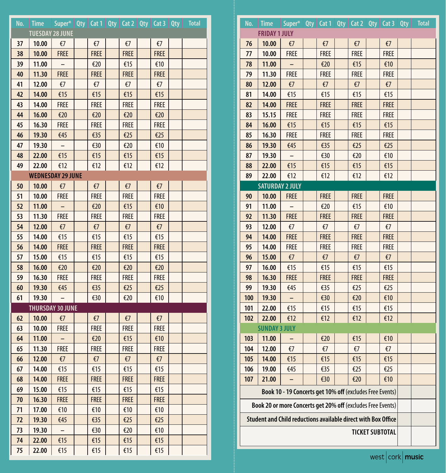| No. | <b>Time</b>              | Super*   Qty   Cat 1   Qty   Cat 2   Qty   Cat 3   Qty |              |              |              | <b>Total</b> |
|-----|--------------------------|--------------------------------------------------------|--------------|--------------|--------------|--------------|
|     | <b>TUESDAY 28 JUNE</b>   |                                                        |              |              |              |              |
| 37  | 10.00                    | $\xi$ 7                                                | €7           | €7           | €7           |              |
| 38  | 10.00                    | <b>FREE</b>                                            | <b>FREE</b>  | <b>FREE</b>  | <b>FREE</b>  |              |
| 39  | 11.00                    |                                                        | €20          | €15          | €10          |              |
| 40  | 11.30                    | <b>FREE</b>                                            | <b>FREE</b>  | <b>FREE</b>  | <b>FREE</b>  |              |
| 41  | 12.00                    | $\epsilon$ 7                                           | €7           | €7           | €7           |              |
| 42  | 14.00                    | €15                                                    | €15          | €15          | €15          |              |
| 43  | 14.00                    | FREE                                                   | <b>FREE</b>  | <b>FREE</b>  | <b>FREE</b>  |              |
| 44  | 16.00                    | €20                                                    | €20          | €20          | €20          |              |
| 45  | 16.30                    | <b>FREE</b>                                            | <b>FREE</b>  | <b>FREE</b>  | <b>FREE</b>  |              |
| 46  | 19.30                    | €45                                                    | €35          | €25          | €25          |              |
| 47  | 19.30                    |                                                        | €30          | €20          | €10          |              |
| 48  | 22.00                    | €15                                                    | €15          | €15          | €15          |              |
| 49  | 22.00                    | €12                                                    | €12          | €12          | €12          |              |
|     | <b>WEDNESDAY 29 JUNE</b> |                                                        |              |              |              |              |
| 50  | 10.00                    | $\epsilon$                                             | €7           | €7           | €7           |              |
| 51  | 10.00                    | FREE                                                   | <b>FREE</b>  | <b>FREE</b>  | <b>FREE</b>  |              |
| 52  | 11.00                    |                                                        | €20          | €15          | €10          |              |
| 53  | 11.30                    | <b>FREE</b>                                            | <b>FREE</b>  | <b>FREE</b>  | <b>FREE</b>  |              |
| 54  | 12.00                    | €7                                                     | $\epsilon$ 7 | €7           | $\epsilon$ 7 |              |
| 55  | 14.00                    | €15                                                    | €15          | €15          | €15          |              |
| 56  | 14.00                    | <b>FREE</b>                                            | <b>FREE</b>  | <b>FREE</b>  | <b>FREE</b>  |              |
| 57  | 15.00                    | €15                                                    | €15          | €15          | €15          |              |
| 58  | 16.00                    | €20                                                    | €20          | €20          | €20          |              |
| 59  | 16.30                    | <b>FREE</b>                                            | <b>FREE</b>  | <b>FREE</b>  | <b>FREE</b>  |              |
| 60  | 19.30                    | €45                                                    | €35          | €25          | €25          |              |
| 61  | 19.30                    |                                                        | €30          | €20          | €10          |              |
|     | <b>THURSDAY 30 JUNE</b>  |                                                        |              |              |              |              |
| 62  | 10.00                    | $\epsilon$ 7                                           | $\epsilon$   | $\epsilon$   | $\epsilon$ 7 |              |
| 63  | 10.00                    | <b>FREE</b>                                            | <b>FREE</b>  | <b>FREE</b>  | <b>FREE</b>  |              |
| 64  | 11.00                    |                                                        | €20          | €15          | €10          |              |
| 65  | 11.30                    | <b>FREE</b>                                            | <b>FREE</b>  | <b>FREE</b>  | <b>FREE</b>  |              |
| 66  | 12.00                    | €7                                                     | €7           | $\epsilon$ 7 | $\epsilon$ 7 |              |
| 67  | 14.00                    | €15                                                    | €15          | €15          | €15          |              |
| 68  | 14.00                    | <b>FREE</b>                                            | <b>FREE</b>  | <b>FREE</b>  | <b>FREE</b>  |              |
| 69  | 15.00                    | €15                                                    | €15          | €15          | €15          |              |
| 70  | 16.30                    | <b>FREE</b>                                            | <b>FREE</b>  | <b>FREE</b>  | <b>FREE</b>  |              |
| 71  | 17.00                    | €10                                                    | €10          | €10          | €10          |              |
| 72  | 19.30                    | €45                                                    | €35          | €25          | €25          |              |
| 73  | 19.30                    | $\overline{\phantom{a}}$                               | €30          | €20          | €10          |              |
| 74  | 22.00                    | €15                                                    | €15          | €15          | €15          |              |
| 75  | 22.00                    | €15                                                    | €15          | €15          | €15          |              |

| No.                                                         | <b>Time</b>                                                   | Super*   Qty   Cat 1   Qty   Cat 2   Qty   Cat 3   Qty   |  |              |  |             |  |              | <b>Total</b> |
|-------------------------------------------------------------|---------------------------------------------------------------|----------------------------------------------------------|--|--------------|--|-------------|--|--------------|--------------|
| <b>FRIDAY 1 JULY</b>                                        |                                                               |                                                          |  |              |  |             |  |              |              |
| 76                                                          | 10.00                                                         | $\epsilon$ 7                                             |  | $\epsilon$   |  | $\epsilon$  |  | $\epsilon$   |              |
| 77                                                          | 10.00                                                         | <b>FREE</b>                                              |  | <b>FREE</b>  |  | <b>FREE</b> |  | <b>FREE</b>  |              |
| 78                                                          | 11.00                                                         |                                                          |  | €20          |  | €15         |  | €10          |              |
| 79                                                          | 11.30                                                         | <b>FREE</b>                                              |  | <b>FREE</b>  |  | <b>FREE</b> |  | <b>FREE</b>  |              |
| 80                                                          | 12.00                                                         | $\epsilon$ 7                                             |  | $\epsilon$ 7 |  | $\epsilon$  |  | $\epsilon$ 7 |              |
| 81                                                          | 14.00                                                         | €15                                                      |  | €15          |  | €15         |  | €15          |              |
| 82                                                          | 14.00                                                         | <b>FREE</b>                                              |  | <b>FREE</b>  |  | <b>FREE</b> |  | <b>FREE</b>  |              |
| 83                                                          | 15.15                                                         | <b>FREE</b>                                              |  | <b>FREE</b>  |  | <b>FREE</b> |  | <b>FREE</b>  |              |
| 84                                                          | 16.00                                                         | €15                                                      |  | €15          |  | €15         |  | €15          |              |
| 85                                                          | 16.30                                                         | <b>FREE</b>                                              |  | <b>FREE</b>  |  | <b>FREE</b> |  | <b>FREE</b>  |              |
| 86                                                          | 19.30                                                         | €45                                                      |  | €35          |  | €25         |  | €25          |              |
| 87                                                          | 19.30                                                         | $\overline{\phantom{0}}$                                 |  | €30          |  | €20         |  | €10          |              |
| 88                                                          | 22.00                                                         | €15                                                      |  | €15          |  | €15         |  | €15          |              |
| 89                                                          | 22.00                                                         | €12                                                      |  | €12          |  | €12         |  | €12          |              |
|                                                             | <b>SATURDAY 2 JULY</b>                                        |                                                          |  |              |  |             |  |              |              |
| 90                                                          | 10.00                                                         | <b>FREE</b>                                              |  | <b>FREE</b>  |  | <b>FREE</b> |  | <b>FREE</b>  |              |
| 91                                                          | 11.00                                                         |                                                          |  | €20          |  | €15         |  | €10          |              |
| 92                                                          | 11.30                                                         | <b>FREE</b>                                              |  | <b>FREE</b>  |  | <b>FREE</b> |  | <b>FREE</b>  |              |
| 93                                                          | 12.00                                                         | €7                                                       |  | €7           |  | €7          |  | €7           |              |
| 94                                                          | 14.00                                                         | <b>FREE</b>                                              |  | <b>FREE</b>  |  | <b>FREE</b> |  | <b>FREE</b>  |              |
| 95                                                          | 14.00                                                         | <b>FREE</b>                                              |  | <b>FREE</b>  |  | <b>FREE</b> |  | <b>FREE</b>  |              |
| 96                                                          | 15.00                                                         | $\epsilon$                                               |  | $\epsilon$ 7 |  | €7          |  | €7           |              |
| 97                                                          | 16.00                                                         | €15                                                      |  | €15          |  | €15         |  | €15          |              |
| 98                                                          | 16.30                                                         | <b>FREE</b>                                              |  | <b>FREE</b>  |  | <b>FREE</b> |  | <b>FREE</b>  |              |
| 99                                                          | 19.30                                                         | €45                                                      |  | €35          |  | €25         |  | €25          |              |
| 100                                                         | 19.30                                                         | $\overline{\phantom{0}}$                                 |  | €30          |  | €20         |  | €10          |              |
| 101                                                         | 22.00                                                         | €15                                                      |  | €15          |  | €15         |  | €15          |              |
| 102                                                         | 22.00                                                         | €12                                                      |  | €12          |  | €12         |  | €12          |              |
|                                                             | <b>SUNDAY 3 JULY</b>                                          |                                                          |  |              |  |             |  |              |              |
| 103                                                         | 11.00                                                         |                                                          |  | €20          |  | €15         |  | €10          |              |
| 104                                                         | 12.00                                                         | €7                                                       |  | €7           |  | €7          |  | €7           |              |
| 105                                                         | 14.00                                                         | €15                                                      |  | €15          |  | €15         |  | €15          |              |
| 106                                                         | 19.00                                                         | €45                                                      |  | €35          |  | €25         |  | €25          |              |
| 107                                                         | 21.00                                                         |                                                          |  | €30          |  | €20         |  | €10          |              |
|                                                             |                                                               | Book 10 - 19 Concerts get 10% off (excludes Free Events) |  |              |  |             |  |              |              |
| Book 20 or more Concerts get 20% off (excludes Free Events) |                                                               |                                                          |  |              |  |             |  |              |              |
|                                                             | Student and Child reductions available direct with Box Office |                                                          |  |              |  |             |  |              |              |
| <b>TICKET SUBTOTAL</b>                                      |                                                               |                                                          |  |              |  |             |  |              |              |
|                                                             |                                                               |                                                          |  |              |  |             |  |              |              |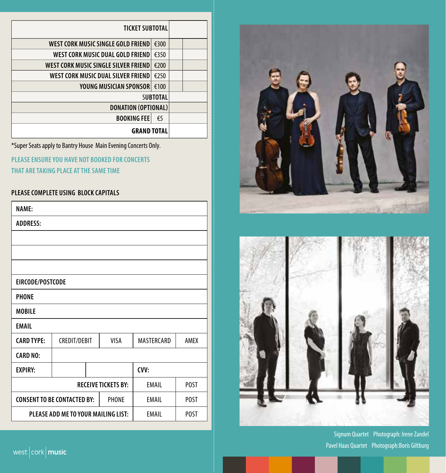| <b>TICKET SUBTOTAL</b>               |  |  |  |
|--------------------------------------|--|--|--|
| WEST CORK MUSIC SINGLE GOLD FRIEND   |  |  |  |
| WEST CORK MUSIC DUAL GOLD FRIEND     |  |  |  |
| WEST CORK MUSIC SINGLE SILVER FRIEND |  |  |  |
| WEST CORK MUSIC DUAL SILVER FRIEND!  |  |  |  |
| YOUNG MUSICIAN SPONSOR               |  |  |  |
| <b>SUBTOTAL</b>                      |  |  |  |
| <b>DONATION (OPTIONAL)</b>           |  |  |  |
| <b>BOOKING FEE</b>                   |  |  |  |
| <b>GRAND TOTAL</b>                   |  |  |  |

\*Super Seats apply to Bantry House Main Evening Concerts Only.

**PLEASE ENSURE YOU HAVE NOT BOOKED FOR CONCERTS**

**THAT ARE TAKING PLACE AT THE SAME TIME** 

#### **PLEASE COMPLETE USING BLOCK CAPITALS**

| <b>NAME:</b>                                                       |                     |  |       |              |             |  |
|--------------------------------------------------------------------|---------------------|--|-------|--------------|-------------|--|
| <b>ADDRESS:</b>                                                    |                     |  |       |              |             |  |
|                                                                    |                     |  |       |              |             |  |
|                                                                    |                     |  |       |              |             |  |
|                                                                    |                     |  |       |              |             |  |
| EIRCODE/POSTCODE                                                   |                     |  |       |              |             |  |
| <b>PHONE</b>                                                       |                     |  |       |              |             |  |
| <b>MOBILE</b>                                                      |                     |  |       |              |             |  |
| EMAIL                                                              |                     |  |       |              |             |  |
| <b>CARD TYPE:</b>                                                  | <b>CREDIT/DEBIT</b> |  | VISA  | MASTERCARD   | AMEX        |  |
| <b>CARD NO:</b>                                                    |                     |  |       |              |             |  |
| <b>EXPIRY:</b>                                                     |                     |  |       | CVV:         |             |  |
| <b>RECEIVE TICKETS BY:</b><br><b>EMAIL</b><br><b>POST</b>          |                     |  |       |              |             |  |
| <b>CONSENT TO BE CONTACTED BY:</b>                                 |                     |  | PHONE | <b>EMAIL</b> | <b>POST</b> |  |
| PLEASE ADD ME TO YOUR MAILING LIST:<br><b>EMAIL</b><br><b>POST</b> |                     |  |       |              |             |  |





Signum Quartet Photograph: Irene Zandel Pavel Haas Quartet Photograph:Boris Giltburg